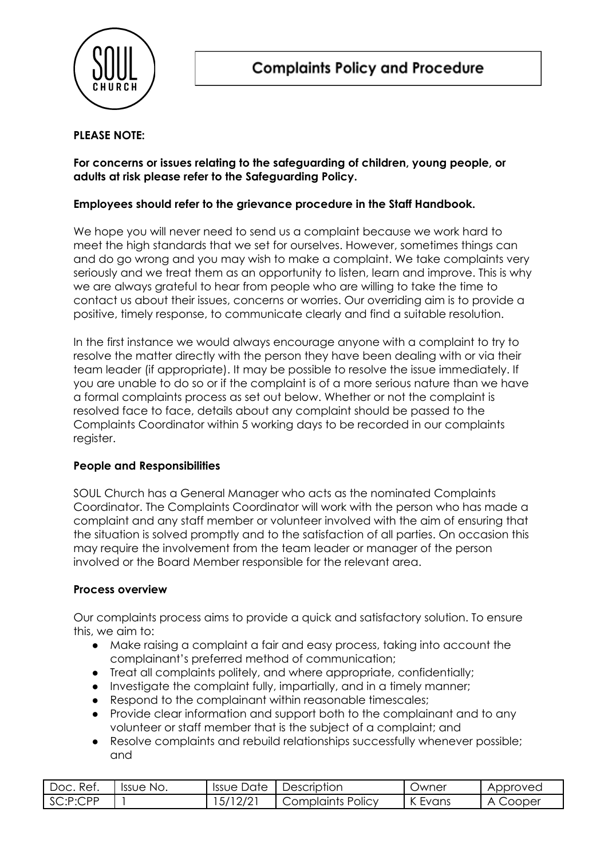

## **PLEASE NOTE:**

## **For concerns or issues relating to the safeguarding of children, young people, or adults at risk please refer to the Safeguarding Policy.**

#### **Employees should refer to the grievance procedure in the Staff Handbook.**

We hope you will never need to send us a complaint because we work hard to meet the high standards that we set for ourselves. However, sometimes things can and do go wrong and you may wish to make a complaint. We take complaints very seriously and we treat them as an opportunity to listen, learn and improve. This is why we are always grateful to hear from people who are willing to take the time to contact us about their issues, concerns or worries. Our overriding aim is to provide a positive, timely response, to communicate clearly and find a suitable resolution.

In the first instance we would always encourage anyone with a complaint to try to resolve the matter directly with the person they have been dealing with or via their team leader (if appropriate). It may be possible to resolve the issue immediately. If you are unable to do so or if the complaint is of a more serious nature than we have a formal complaints process as set out below. Whether or not the complaint is resolved face to face, details about any complaint should be passed to the Complaints Coordinator within 5 working days to be recorded in our complaints register.

## **People and Responsibilities**

SOUL Church has a General Manager who acts as the nominated Complaints Coordinator. The Complaints Coordinator will work with the person who has made a complaint and any staff member or volunteer involved with the aim of ensuring that the situation is solved promptly and to the satisfaction of all parties. On occasion this may require the involvement from the team leader or manager of the person involved or the Board Member responsible for the relevant area.

## **Process overview**

Our complaints process aims to provide a quick and satisfactory solution. To ensure this, we aim to:

- Make raising a complaint a fair and easy process, taking into account the complainant's preferred method of communication;
- Treat all complaints politely, and where appropriate, confidentially;
- Investigate the complaint fully, impartially, and in a timely manner;
- Respond to the complainant within reasonable timescales;
- Provide clear information and support both to the complainant and to any volunteer or staff member that is the subject of a complaint; and
- Resolve complaints and rebuild relationships successfully whenever possible; and

| Ref.<br>Doc. | Issue No. | Date<br>Issue | Description       | <b>Jwner</b>            | Approved    |
|--------------|-----------|---------------|-------------------|-------------------------|-------------|
| SC:P:CPP     |           | 12/21<br>51   | Complaints Policy | <b>ME</b><br>Evans<br>N | Cooper<br>Δ |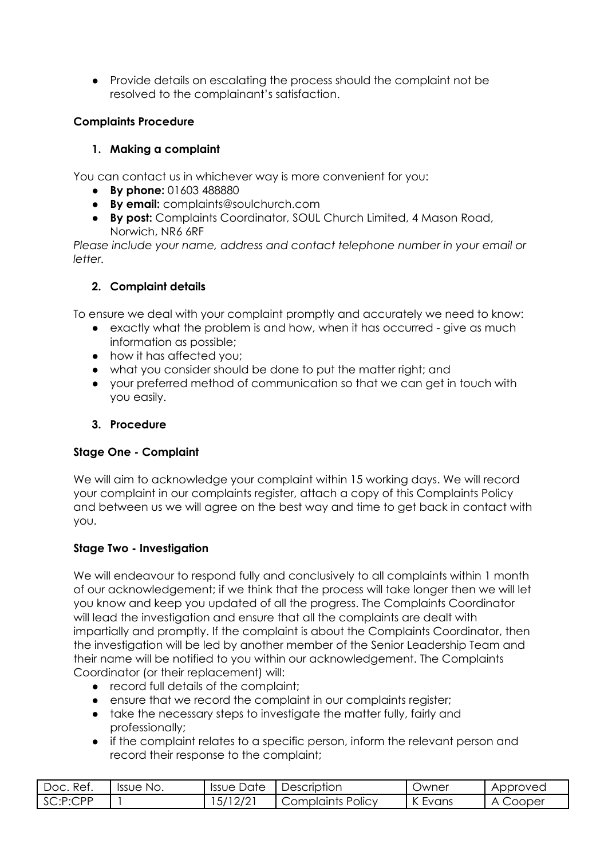● Provide details on escalating the process should the complaint not be resolved to the complainant's satisfaction.

## **Complaints Procedure**

# **1. Making a complaint**

You can contact us in whichever way is more convenient for you:

- **By phone:** 01603 488880
- **By email:** complaints@soulchurch.com
- **By post:** Complaints Coordinator, SOUL Church Limited, 4 Mason Road, Norwich, NR6 6RF

*Please include your name, address and contact telephone number in your email or letter.*

# **2. Complaint details**

To ensure we deal with your complaint promptly and accurately we need to know:

- exactly what the problem is and how, when it has occurred give as much information as possible;
- how it has affected you;
- what you consider should be done to put the matter right; and
- your preferred method of communication so that we can get in touch with you easily.

# **3. Procedure**

## **Stage One - Complaint**

We will aim to acknowledge your complaint within 15 working days. We will record your complaint in our complaints register, attach a copy of this Complaints Policy and between us we will agree on the best way and time to get back in contact with you.

## **Stage Two - Investigation**

We will endeavour to respond fully and conclusively to all complaints within 1 month of our acknowledgement; if we think that the process will take longer then we will let you know and keep you updated of all the progress. The Complaints Coordinator will lead the investigation and ensure that all the complaints are dealt with impartially and promptly. If the complaint is about the Complaints Coordinator, then the investigation will be led by another member of the Senior Leadership Team and their name will be notified to you within our acknowledgement. The Complaints Coordinator (or their replacement) will:

- record full details of the complaint;
- ensure that we record the complaint in our complaints register;
- take the necessary steps to investigate the matter fully, fairly and professionally;
- if the complaint relates to a specific person, inform the relevant person and record their response to the complaint;

| Ref.<br>Doc. | Issue No. | Issue Date         | Description          | Jwner | Approved    |
|--------------|-----------|--------------------|----------------------|-------|-------------|
| SC:P:CPP     |           | 10101<br>57<br>212 | POIICV<br>Complaints | Evans | Cooper<br>Δ |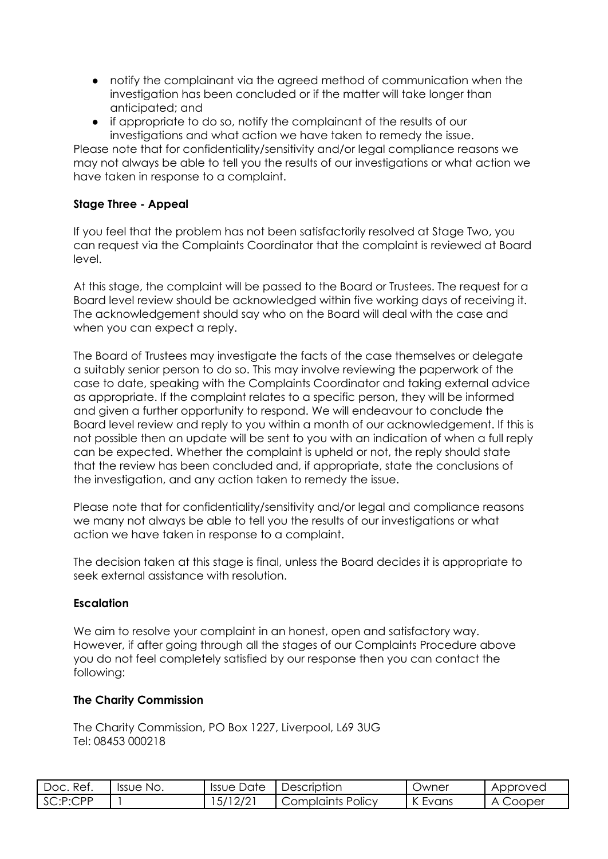- notify the complainant via the agreed method of communication when the investigation has been concluded or if the matter will take longer than anticipated; and
- if appropriate to do so, notify the complainant of the results of our investigations and what action we have taken to remedy the issue.

Please note that for confidentiality/sensitivity and/or legal compliance reasons we may not always be able to tell you the results of our investigations or what action we have taken in response to a complaint.

## **Stage Three - Appeal**

If you feel that the problem has not been satisfactorily resolved at Stage Two, you can request via the Complaints Coordinator that the complaint is reviewed at Board level.

At this stage, the complaint will be passed to the Board or Trustees. The request for a Board level review should be acknowledged within five working days of receiving it. The acknowledgement should say who on the Board will deal with the case and when you can expect a reply.

The Board of Trustees may investigate the facts of the case themselves or delegate a suitably senior person to do so. This may involve reviewing the paperwork of the case to date, speaking with the Complaints Coordinator and taking external advice as appropriate. If the complaint relates to a specific person, they will be informed and given a further opportunity to respond. We will endeavour to conclude the Board level review and reply to you within a month of our acknowledgement. If this is not possible then an update will be sent to you with an indication of when a full reply can be expected. Whether the complaint is upheld or not, the reply should state that the review has been concluded and, if appropriate, state the conclusions of the investigation, and any action taken to remedy the issue.

Please note that for confidentiality/sensitivity and/or legal and compliance reasons we many not always be able to tell you the results of our investigations or what action we have taken in response to a complaint.

The decision taken at this stage is final, unless the Board decides it is appropriate to seek external assistance with resolution.

## **Escalation**

We aim to resolve your complaint in an honest, open and satisfactory way. However, if after going through all the stages of our Complaints Procedure above you do not feel completely satisfied by our response then you can contact the following:

#### **The Charity Commission**

The Charity Commission, PO Box 1227, Liverpool, L69 3UG Tel: 08453 000218

| Ret.<br>Doc. | Issue No. | Issue Date | Description       | <b>Jwner</b>          | Approved    |
|--------------|-----------|------------|-------------------|-----------------------|-------------|
| SC:P:CPP     |           | .5/12/2    | Complaints Policy | $\sqrt{ }$<br>. Evans | Cooper<br>А |